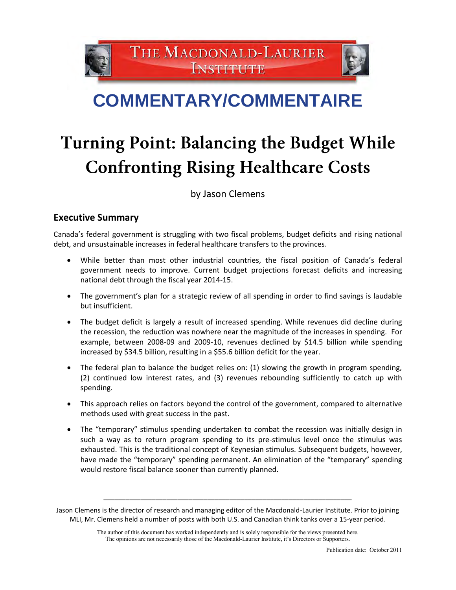THE MACDONALD-LAURIER **INSTITUTE** 



## **COMMENTARY/COMMENTAIRE**

# Turning Point: Balancing the Budget While **Confronting Rising Healthcare Costs**

by Jason Clemens

## **Executive Summary**

Canada's federal government is struggling with two fiscal problems, budget deficits and rising national debt, and unsustainable increases in federal healthcare transfers to the provinces.

- While better than most other industrial countries, the fiscal position of Canada's federal government needs to improve. Current budget projections forecast deficits and increasing national debt through the fiscal year 2014-15.
- The government's plan for a strategic review of all spending in order to find savings is laudable but insufficient.
- The budget deficit is largely a result of increased spending. While revenues did decline during the recession, the reduction was nowhere near the magnitude of the increases in spending. For example, between 2008-09 and 2009-10, revenues declined by \$14.5 billion while spending increased by \$34.5 billion, resulting in a \$55.6 billion deficit for the year.
- The federal plan to balance the budget relies on: (1) slowing the growth in program spending, (2) continued low interest rates, and (3) revenues rebounding sufficiently to catch up with spending.
- This approach relies on factors beyond the control of the government, compared to alternative methods used with great success in the past.
- The "temporary" stimulus spending undertaken to combat the recession was initially design in such a way as to return program spending to its pre-stimulus level once the stimulus was exhausted. This is the traditional concept of Keynesian stimulus. Subsequent budgets, however, have made the "temporary" spending permanent. An elimination of the "temporary" spending would restore fiscal balance sooner than currently planned.

\_\_\_\_\_\_\_\_\_\_\_\_\_\_\_\_\_\_\_\_\_\_\_\_\_\_\_\_\_\_\_\_\_\_\_\_\_\_\_\_\_\_\_\_\_\_\_\_\_\_\_\_\_\_\_\_\_\_\_\_\_\_\_\_\_\_\_

Jason Clemens is the director of research and managing editor of the Macdonald-Laurier Institute. Prior to joining MLI, Mr. Clemens held a number of posts with both U.S. and Canadian think tanks over a 15-year period.

The author of this document has worked independently and is solely responsible for the views presented here. The opinions are not necessarily those of the Macdonald-Laurier Institute, it's Directors or Supporters.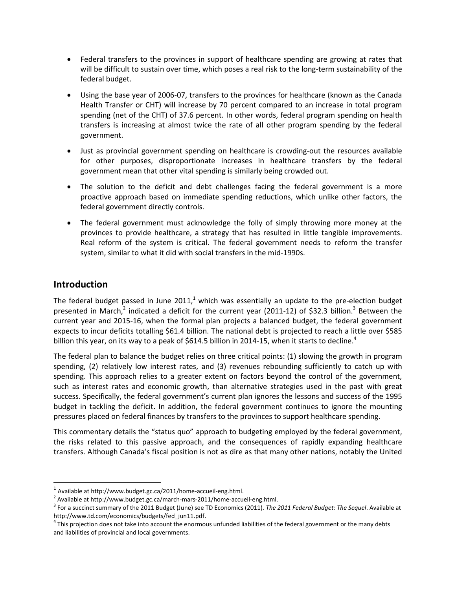- Federal transfers to the provinces in support of healthcare spending are growing at rates that will be difficult to sustain over time, which poses a real risk to the long-term sustainability of the federal budget.
- Using the base year of 2006-07, transfers to the provinces for healthcare (known as the Canada Health Transfer or CHT) will increase by 70 percent compared to an increase in total program spending (net of the CHT) of 37.6 percent. In other words, federal program spending on health transfers is increasing at almost twice the rate of all other program spending by the federal government.
- Just as provincial government spending on healthcare is crowding-out the resources available for other purposes, disproportionate increases in healthcare transfers by the federal government mean that other vital spending is similarly being crowded out.
- The solution to the deficit and debt challenges facing the federal government is a more proactive approach based on immediate spending reductions, which unlike other factors, the federal government directly controls.
- The federal government must acknowledge the folly of simply throwing more money at the provinces to provide healthcare, a strategy that has resulted in little tangible improvements. Real reform of the system is critical. The federal government needs to reform the transfer system, similar to what it did with social transfers in the mid-1990s.

## **Introduction**

l

The federal budget passed in June 2011,<sup>1</sup> which was essentially an update to the pre-election budget presented in March,<sup>2</sup> indicated a deficit for the current year (2011-12) of \$32.3 billion.<sup>3</sup> Between the current year and 2015-16, when the formal plan projects a balanced budget, the federal government expects to incur deficits totalling \$61.4 billion. The national debt is projected to reach a little over \$585 billion this year, on its way to a peak of \$614.5 billion in 2014-15, when it starts to decline.<sup>4</sup>

The federal plan to balance the budget relies on three critical points: (1) slowing the growth in program spending, (2) relatively low interest rates, and (3) revenues rebounding sufficiently to catch up with spending. This approach relies to a greater extent on factors beyond the control of the government, such as interest rates and economic growth, than alternative strategies used in the past with great success. Specifically, the federal government's current plan ignores the lessons and success of the 1995 budget in tackling the deficit. In addition, the federal government continues to ignore the mounting pressures placed on federal finances by transfers to the provinces to support healthcare spending.

This commentary details the "status quo" approach to budgeting employed by the federal government, the risks related to this passive approach, and the consequences of rapidly expanding healthcare transfers. Although Canada's fiscal position is not as dire as that many other nations, notably the United

 $^{1}$  Available a[t http://www.budget.gc.ca/2011/home-accueil-eng.html.](http://www.budget.gc.ca/2011/home-accueil-eng.html)

 $^2$  Available at http://www.budget.gc.ca/march-mars-2011/home-accueil-eng.html.

<sup>3</sup> For a succinct summary of the 2011 Budget (June) see TD Economics (2011). *The 2011 Federal Budget: The Sequel*. Available at [http://www.td.com/economics/budgets/fed\\_jun11.pdf.](http://www.td.com/economics/budgets/fed_jun11.pdf)

<sup>&</sup>lt;sup>4</sup> This projection does not take into account the enormous unfunded liabilities of the federal government or the many debts and liabilities of provincial and local governments.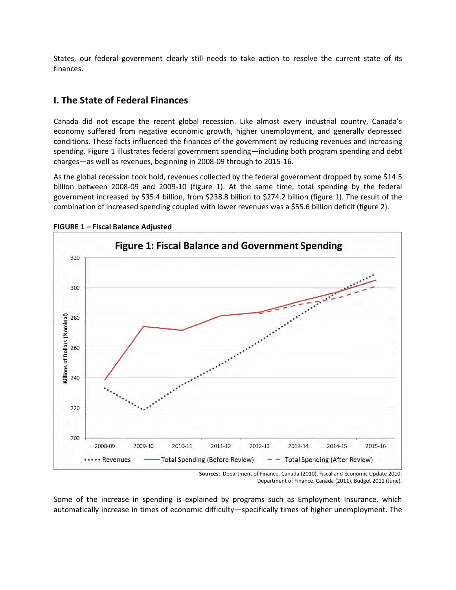States, our federal government clearly still needs to take action to resolve the current state of its finances.

## **I. The State of Federal Finances**

Canada did not escape the recent global recession. Like almost every industrial country, Canada's economy suffered from negative economic growth, higher unemployment, and generally depressed conditions. These facts influenced the finances of the government by reducing revenues and increasing spending. Figure 1 illustrates federal government spending—including both program spending and debt charges—as well as revenues, beginning in 2008-09 through to 2015-16.

As the global recession took hold, revenues collected by the federal government dropped by some \$14.5 billion between 2008-09 and 2009-10 (figure 1). At the same time, total spending by the federal government increased by \$35.4 billion, from \$238.8 billion to \$274.2 billion (figure 1). The result of the combination of increased spending coupled with lower revenues was a \$55.6 billion deficit (figure 2).



**FIGURE 1 – Fiscal Balance Adjusted** 

Some of the increase in spending is explained by programs such as Employment Insurance, which automatically increase in times of economic difficulty—specifically times of higher unemployment. The

**Sources:** Department of Finance, Canada (2010), Fiscal and Economic Update 2010; Department of Finance, Canada (2011), Budget 2011 (June).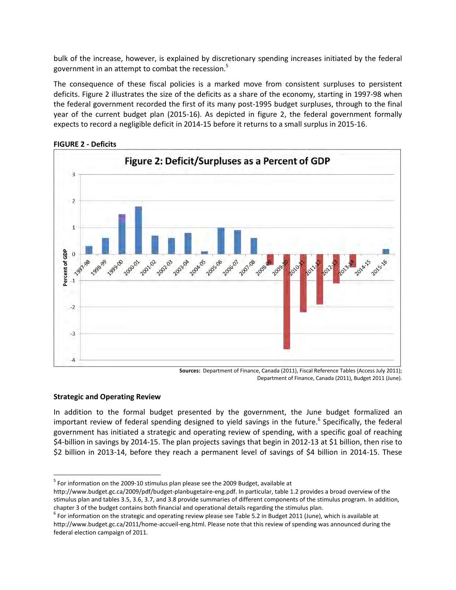bulk of the increase, however, is explained by discretionary spending increases initiated by the federal government in an attempt to combat the recession.<sup>5</sup>

The consequence of these fiscal policies is a marked move from consistent surpluses to persistent deficits. Figure 2 illustrates the size of the deficits as a share of the economy, starting in 1997-98 when the federal government recorded the first of its many post-1995 budget surpluses, through to the final year of the current budget plan (2015-16). As depicted in figure 2, the federal government formally expects to record a negligible deficit in 2014-15 before it returns to a small surplus in 2015-16.



**FIGURE 2 - Deficits** 

**Sources:** Department of Finance, Canada (2011), Fiscal Reference Tables (Access July 2011); Department of Finance, Canada (2011), Budget 2011 (June).

#### **Strategic and Operating Review**

 $\overline{a}$ 

In addition to the formal budget presented by the government, the June budget formalized an important review of federal spending designed to yield savings in the future.<sup>6</sup> Specifically, the federal government has initiated a strategic and operating review of spending, with a specific goal of reaching \$4-billion in savings by 2014-15. The plan projects savings that begin in 2012-13 at \$1 billion, then rise to \$2 billion in 2013-14, before they reach a permanent level of savings of \$4 billion in 2014-15. These

<sup>&</sup>lt;sup>5</sup> For information on the 2009-10 stimulus plan please see the 2009 Budget, available at

[http://www.budget.gc.ca/2009/pdf/budget-planbugetaire-eng.pdf.](http://www.budget.gc.ca/2009/pdf/budget-planbugetaire-eng.pdf) In particular, table 1.2 provides a broad overview of the stimulus plan and tables 3.5, 3.6, 3.7, and 3.8 provide summaries of different components of the stimulus program. In addition, chapter 3 of the budget contains both financial and operational details regarding the stimulus plan.

 $^6$  For information on the strategic and operating review please see Table 5.2 in Budget 2011 (June), which is available at [http://www.budget.gc.ca/2011/home-accueil-eng.html.](http://www.budget.gc.ca/2011/home-accueil-eng.html) Please note that this review of spending was announced during the federal election campaign of 2011.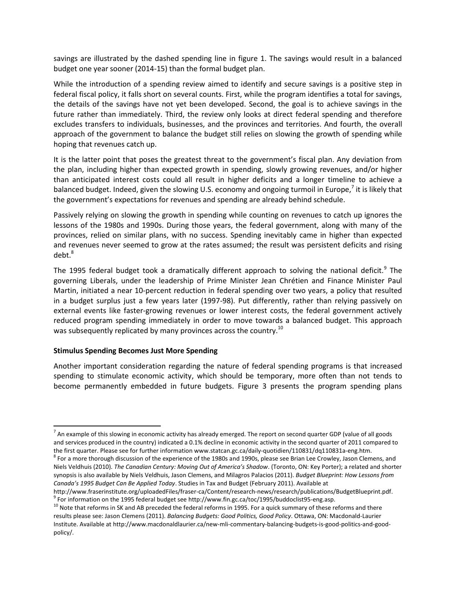savings are illustrated by the dashed spending line in figure 1. The savings would result in a balanced budget one year sooner (2014-15) than the formal budget plan.

While the introduction of a spending review aimed to identify and secure savings is a positive step in federal fiscal policy, it falls short on several counts. First, while the program identifies a total for savings, the details of the savings have not yet been developed. Second, the goal is to achieve savings in the future rather than immediately. Third, the review only looks at direct federal spending and therefore excludes transfers to individuals, businesses, and the provinces and territories. And fourth, the overall approach of the government to balance the budget still relies on slowing the growth of spending while hoping that revenues catch up.

It is the latter point that poses the greatest threat to the government's fiscal plan. Any deviation from the plan, including higher than expected growth in spending, slowly growing revenues, and/or higher than anticipated interest costs could all result in higher deficits and a longer timeline to achieve a balanced budget. Indeed, given the slowing U.S. economy and ongoing turmoil in Europe,<sup>7</sup> it is likely that the government's expectations for revenues and spending are already behind schedule.

Passively relying on slowing the growth in spending while counting on revenues to catch up ignores the lessons of the 1980s and 1990s. During those years, the federal government, along with many of the provinces, relied on similar plans, with no success. Spending inevitably came in higher than expected and revenues never seemed to grow at the rates assumed; the result was persistent deficits and rising debt.<sup>8</sup>

The 1995 federal budget took a dramatically different approach to solving the national deficit.<sup>9</sup> The governing Liberals, under the leadership of Prime Minister Jean Chrétien and Finance Minister Paul Martin, initiated a near 10-percent reduction in federal spending over two years, a policy that resulted in a budget surplus just a few years later (1997-98). Put differently, rather than relying passively on external events like faster-growing revenues or lower interest costs, the federal government actively reduced program spending immediately in order to move towards a balanced budget. This approach was subsequently replicated by many provinces across the country.<sup>10</sup>

#### **Stimulus Spending Becomes Just More Spending**

l

Another important consideration regarding the nature of federal spending programs is that increased spending to stimulate economic activity, which should be temporary, more often than not tends to become permanently embedded in future budgets. Figure 3 presents the program spending plans

 $^7$  An example of this slowing in economic activity has already emerged. The report on second quarter GDP (value of all goods and services produced in the country) indicated a 0.1% decline in economic activity in the second quarter of 2011 compared to the first quarter. Please see for further information [www.statcan.gc.ca/daily-quotidien/110831/dq110831a-eng.htm.](http://www.statcan.gc.ca/daily-quotidien/110831/dq110831a-eng.htm) 

<sup>&</sup>lt;sup>8</sup> For a more thorough discussion of the experience of the 1980s and 1990s, please see Brian Lee Crowley, Jason Clemens, and Niels Veldhuis (2010). *The Canadian Century: Moving Out of America's Shadow*. (Toronto, ON: Key Porter); a related and shorter synopsis is also available by Niels Veldhuis, Jason Clemens, and Milagros Palacios (2011). *Budget Blueprint: How Lessons from Canada's 1995 Budget Can Be Applied Today*. Studies in Tax and Budget (February 2011). Available at

[http://www.fraserinstitute.org/uploadedFiles/fraser-ca/Content/research-news/research/publications/BudgetBlueprint.pdf.](http://www.fraserinstitute.org/uploadedFiles/fraser-ca/Content/research-news/research/publications/BudgetBlueprint.pdf)   $^9$  For information on the 1995 federal budget see http://www.fin.gc.ca/toc/1995/buddoclist95-eng.asp.

 $10$  Note that reforms in SK and AB preceded the federal reforms in 1995. For a quick summary of these reforms and there results please see: Jason Clemens (2011). *Balancing Budgets: Good Politics, Good Policy*. Ottawa, ON: Macdonald-Laurier Institute. Available at [http://www.macdonaldlaurier.ca/new-mli-commentary-balancing-budgets-is-good-politics-and-good](http://www.macdonaldlaurier.ca/new-mli-commentary-balancing-budgets-is-good-politics-and-good-policy/)[policy/.](http://www.macdonaldlaurier.ca/new-mli-commentary-balancing-budgets-is-good-politics-and-good-policy/)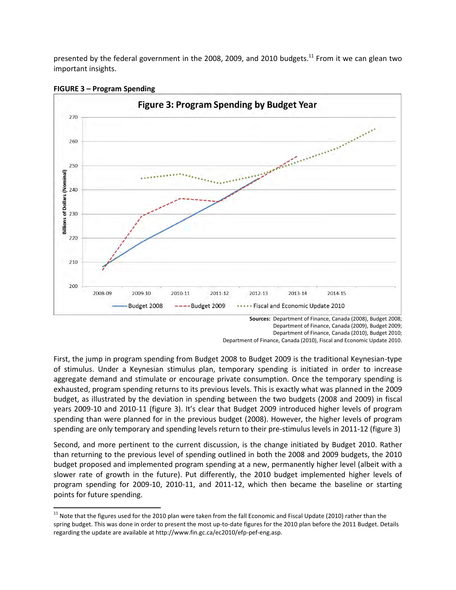presented by the federal government in the 2008, 2009, and 2010 budgets.<sup>11</sup> From it we can glean two important insights.



#### **FIGURE 3 – Program Spending**

l

Department of Finance, Canada (2009), Budget 2009; Department of Finance, Canada (2010), Budget 2010; Department of Finance, Canada (2010), Fiscal and Economic Update 2010.

First, the jump in program spending from Budget 2008 to Budget 2009 is the traditional Keynesian-type of stimulus. Under a Keynesian stimulus plan, temporary spending is initiated in order to increase aggregate demand and stimulate or encourage private consumption. Once the temporary spending is exhausted, program spending returns to its previous levels. This is exactly what was planned in the 2009 budget, as illustrated by the deviation in spending between the two budgets (2008 and 2009) in fiscal years 2009-10 and 2010-11 (figure 3). It's clear that Budget 2009 introduced higher levels of program spending than were planned for in the previous budget (2008). However, the higher levels of program spending are only temporary and spending levels return to their pre-stimulus levels in 2011-12 (figure 3)

Second, and more pertinent to the current discussion, is the change initiated by Budget 2010. Rather than returning to the previous level of spending outlined in both the 2008 and 2009 budgets, the 2010 budget proposed and implemented program spending at a new, permanently higher level (albeit with a slower rate of growth in the future). Put differently, the 2010 budget implemented higher levels of program spending for 2009-10, 2010-11, and 2011-12, which then became the baseline or starting points for future spending.

 $11$  Note that the figures used for the 2010 plan were taken from the fall Economic and Fiscal Update (2010) rather than the spring budget. This was done in order to present the most up-to-date figures for the 2010 plan before the 2011 Budget. Details regarding the update are available a[t http://www.fin.gc.ca/ec2010/efp-pef-eng.asp.](http://www.fin.gc.ca/ec2010/efp-pef-eng.asp)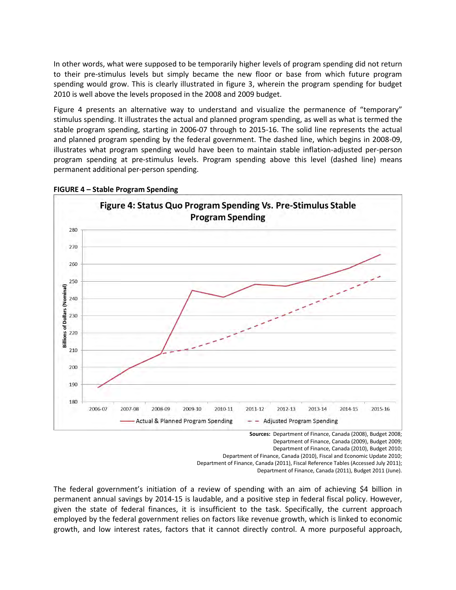In other words, what were supposed to be temporarily higher levels of program spending did not return to their pre-stimulus levels but simply became the new floor or base from which future program spending would grow. This is clearly illustrated in figure 3, wherein the program spending for budget 2010 is well above the levels proposed in the 2008 and 2009 budget.

Figure 4 presents an alternative way to understand and visualize the permanence of "temporary" stimulus spending. It illustrates the actual and planned program spending, as well as what is termed the stable program spending, starting in 2006-07 through to 2015-16. The solid line represents the actual and planned program spending by the federal government. The dashed line, which begins in 2008-09, illustrates what program spending would have been to maintain stable inflation-adjusted per-person program spending at pre-stimulus levels. Program spending above this level (dashed line) means permanent additional per-person spending.



#### **FIGURE 4 – Stable Program Spending**

**Sources:** Department of Finance, Canada (2008), Budget 2008; Department of Finance, Canada (2009), Budget 2009; Department of Finance, Canada (2010), Budget 2010; Department of Finance, Canada (2010), Fiscal and Economic Update 2010; Department of Finance, Canada (2011), Fiscal Reference Tables (Accessed July 2011);

Department of Finance, Canada (2011), Budget 2011 (June).

The federal government's initiation of a review of spending with an aim of achieving \$4 billion in permanent annual savings by 2014-15 is laudable, and a positive step in federal fiscal policy. However, given the state of federal finances, it is insufficient to the task. Specifically, the current approach employed by the federal government relies on factors like revenue growth, which is linked to economic growth, and low interest rates, factors that it cannot directly control. A more purposeful approach,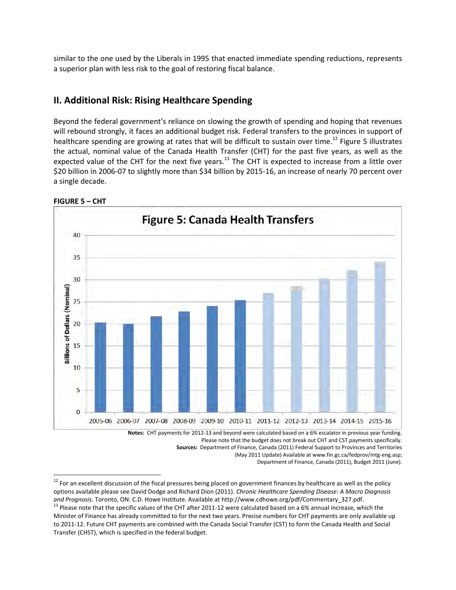similar to the one used by the Liberals in 1995 that enacted immediate spending reductions, represents a superior plan with less risk to the goal of restoring fiscal balance.

## **II. Additional Risk: Rising Healthcare Spending**

Beyond the federal government's reliance on slowing the growth of spending and hoping that revenues will rebound strongly, it faces an additional budget risk. Federal transfers to the provinces in support of healthcare spending are growing at rates that will be difficult to sustain over time.<sup>12</sup> Figure 5 illustrates the actual, nominal value of the Canada Health Transfer (CHT) for the past five years, as well as the expected value of the CHT for the next five years.<sup>13</sup> The CHT is expected to increase from a little over \$20 billion in 2006-07 to slightly more than \$34 billion by 2015-16, an increase of nearly 70 percent over a single decade.



**FIGURE 5 – CHT** 

 $\overline{a}$ 

Please note that the budget does not break out CHT and CST payments specifically. **Sources:** Department of Finance, Canada (2011) Federal Support to Provinces and Territories

(May 2011 Update) Available at [www.fin.gc.ca/fedprov/mtg-eng.asp;](http://www.fin.gc.ca/fedprov/mtg-eng.asp)

Department of Finance, Canada (2011), Budget 2011 (June).

<sup>&</sup>lt;sup>12</sup> For an excellent discussion of the fiscal pressures being placed on government finances by healthcare as well as the policy options available please see David Dodge and Richard Dion (2011). *Chronic Healthcare Spending Disease: A Macro Diagnosis and Prognosis*. Toronto, ON: C.D. Howe Institute. Available a[t http://www.cdhowe.org/pdf/Commentary\\_327.pdf.](http://www.cdhowe.org/pdf/Commentary_327.pdf)

<sup>&</sup>lt;sup>13</sup> Please note that the specific values of the CHT after 2011-12 were calculated based on a 6% annual increase, which the Minister of Finance has already committed to for the next two years. Precise numbers for CHT payments are only available up to 2011-12. Future CHT payments are combined with the Canada Social Transfer (CST) to form the Canada Health and Social Transfer (CHST), which is specified in the federal budget.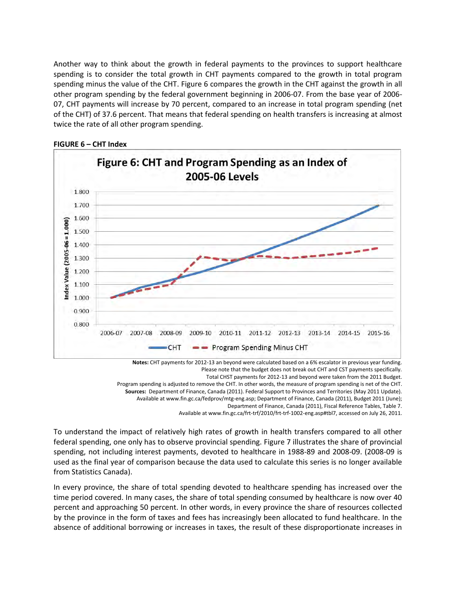Another way to think about the growth in federal payments to the provinces to support healthcare spending is to consider the total growth in CHT payments compared to the growth in total program spending minus the value of the CHT. Figure 6 compares the growth in the CHT against the growth in all other program spending by the federal government beginning in 2006-07. From the base year of 2006- 07, CHT payments will increase by 70 percent, compared to an increase in total program spending (net of the CHT) of 37.6 percent. That means that federal spending on health transfers is increasing at almost twice the rate of all other program spending.



**FIGURE 6 – CHT Index** 

**Notes:** CHT payments for 2012-13 an beyond were calculated based on a 6% escalator in previous year funding. Please note that the budget does not break out CHT and CST payments specifically.

Total CHST payments for 2012-13 and beyond were taken from the 2011 Budget. Program spending is adjusted to remove the CHT. In other words, the measure of program spending is net of the CHT.

**Sources:** Department of Finance, Canada (2011). Federal Support to Provinces and Territories (May 2011 Update).

Available a[t www.fin.gc.ca/fedprov/mtg-eng.asp;](http://www.fin.gc.ca/fedprov/mtg-eng.asp) Department of Finance, Canada (2011), Budget 2011 (June);

Department of Finance, Canada (2011), Fiscal Reference Tables, Table 7.

Available a[t www.fin.gc.ca/frt-trf/2010/frt-trf-1002-eng.asp#tbl7,](http://www.fin.gc.ca/frt-trf/2010/frt-trf-1002-eng.asp#tbl7) accessed on July 26, 2011.

To understand the impact of relatively high rates of growth in health transfers compared to all other federal spending, one only has to observe provincial spending. Figure 7 illustrates the share of provincial spending, not including interest payments, devoted to healthcare in 1988-89 and 2008-09. (2008-09 is used as the final year of comparison because the data used to calculate this series is no longer available from Statistics Canada).

In every province, the share of total spending devoted to healthcare spending has increased over the time period covered. In many cases, the share of total spending consumed by healthcare is now over 40 percent and approaching 50 percent. In other words, in every province the share of resources collected by the province in the form of taxes and fees has increasingly been allocated to fund healthcare. In the absence of additional borrowing or increases in taxes, the result of these disproportionate increases in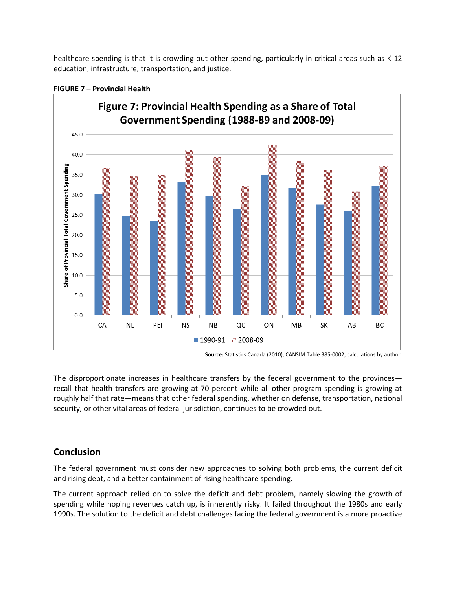healthcare spending is that it is crowding out other spending, particularly in critical areas such as K-12 education, infrastructure, transportation, and justice.



#### **FIGURE 7 – Provincial Health**

The disproportionate increases in healthcare transfers by the federal government to the provinces recall that health transfers are growing at 70 percent while all other program spending is growing at roughly half that rate—means that other federal spending, whether on defense, transportation, national security, or other vital areas of federal jurisdiction, continues to be crowded out.

## **Conclusion**

The federal government must consider new approaches to solving both problems, the current deficit and rising debt, and a better containment of rising healthcare spending.

The current approach relied on to solve the deficit and debt problem, namely slowing the growth of spending while hoping revenues catch up, is inherently risky. It failed throughout the 1980s and early 1990s. The solution to the deficit and debt challenges facing the federal government is a more proactive

**Source:** Statistics Canada (2010), CANSIM Table 385-0002; calculations by author.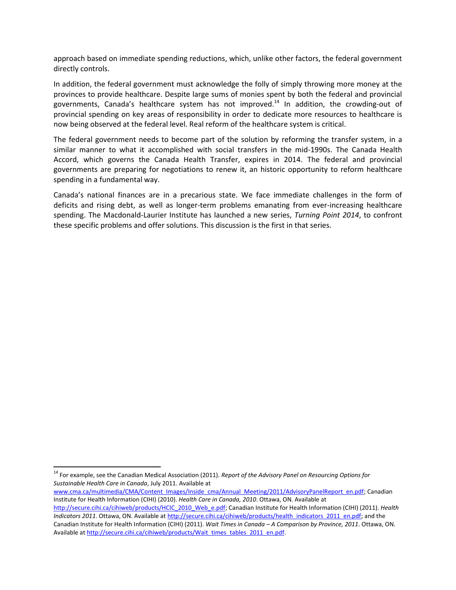approach based on immediate spending reductions, which, unlike other factors, the federal government directly controls.

In addition, the federal government must acknowledge the folly of simply throwing more money at the provinces to provide healthcare. Despite large sums of monies spent by both the federal and provincial governments, Canada's healthcare system has not improved.<sup>14</sup> In addition, the crowding-out of provincial spending on key areas of responsibility in order to dedicate more resources to healthcare is now being observed at the federal level. Real reform of the healthcare system is critical.

The federal government needs to become part of the solution by reforming the transfer system, in a similar manner to what it accomplished with social transfers in the mid-1990s. The Canada Health Accord, which governs the Canada Health Transfer, expires in 2014. The federal and provincial governments are preparing for negotiations to renew it, an historic opportunity to reform healthcare spending in a fundamental way.

Canada's national finances are in a precarious state. We face immediate challenges in the form of deficits and rising debt, as well as longer-term problems emanating from ever-increasing healthcare spending. The Macdonald-Laurier Institute has launched a new series, *Turning Point 2014*, to confront these specific problems and offer solutions. This discussion is the first in that series.

 $\overline{a}$ 

[www.cma.ca/multimedia/CMA/Content\\_Images/Inside\\_cma/Annual\\_Meeting/2011/AdvisoryPanelReport\\_en.pdf;](http://www.cma.ca/multimedia/CMA/Content_Images/Inside_cma/Annual_Meeting/2011/AdvisoryPanelReport_en.pdf) Canadian Institute for Health Information (CIHI) (2010). *Health Care in Canada, 2010*. Ottawa, ON. Available at

<sup>&</sup>lt;sup>14</sup> For example, see the Canadian Medical Association (2011). *Report of the Advisory Panel on Resourcing Options for Sustainable Health Care in Canada*, July 2011. Available at

[http://secure.cihi.ca/cihiweb/products/HCIC\\_2010\\_Web\\_e.pdf;](http://secure.cihi.ca/cihiweb/products/HCIC_2010_Web_e.pdf) Canadian Institute for Health Information (CIHI) (2011). *Health Indicators 2011*. Ottawa, ON. Available at [http://secure.cihi.ca/cihiweb/products/health\\_indicators\\_2011\\_en.pdf;](http://secure.cihi.ca/cihiweb/products/health_indicators_2011_en.pdf) and the Canadian Institute for Health Information (CIHI) (2011). *Wait Times in Canada – A Comparison by Province, 2011*. Ottawa, ON. Available a[t http://secure.cihi.ca/cihiweb/products/Wait\\_times\\_tables\\_2011\\_en.pdf.](http://secure.cihi.ca/cihiweb/products/Wait_times_tables_2011_en.pdf)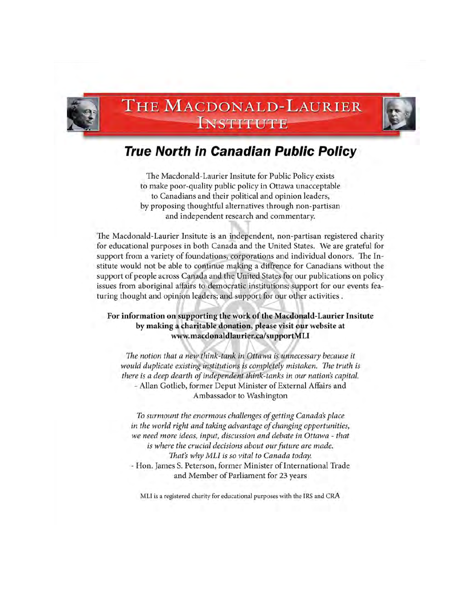

## THE MACDONALD-LAURIER **INSTITUTE**



The Macdonald-Laurier Insitute for Public Policy exists to make poor-quality public policy in Ottawa unacceptable to Canadians and their political and opinion leaders, by proposing thoughtful alternatives through non-partisan and independent research and commentary.

The Macdonald-Laurier Insitute is an independent, non-partisan registered charity for educational purposes in both Canada and the United States. We are grateful for support from a variety of foundations, corporations and individual donors. The Institute would not be able to continue making a diffrence for Canadians without the support of people across Canada and the United States for our publications on policy issues from aboriginal affairs to democratic institutions; support for our events featuring thought and opinion leaders; and support for our other activities.

#### For information on supporting the work of the Macdonald-Laurier Insitute by making a charitable donation, please visit our website at www.macdonaldlaurier.ca/supportMLI

The notion that a new think-tank in Ottawa is unnecessary because it would duplicate existing institutions is completely mistaken. The truth is there is a deep dearth of independent think-tanks in our nation's capital. - Allan Gotlieb, former Deput Minister of External Affairs and Ambassador to Washington

To surmount the enormous challenges of getting Canada's place in the world right and taking advantage of changing opportunities, we need more ideas, input, discussion and debate in Ottawa - that is where the crucial decisions about our future are made. That's why MLI is so vital to Canada today. - Hon. James S. Peterson, former Minister of International Trade and Member of Parliament for 23 years

MLI is a registered charity for educational purposes with the IRS and CRA